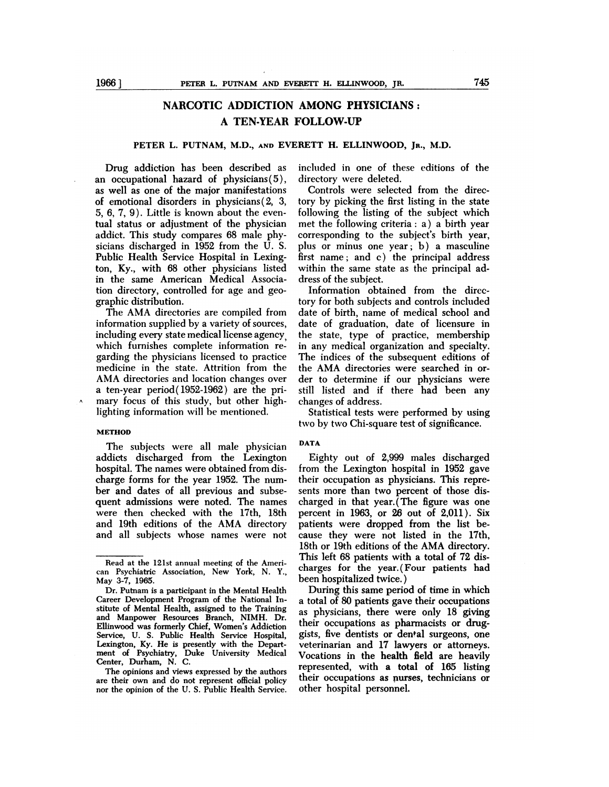# **NARCOTIC ADDICTION AMONG PHYSICIANS: A TEN-YEAR FOLLOW-UP**

## **PETER L. PUTNAM, M.D., AND EVERETT H. ELLINWOOD, JR., M.D.**

Drug addiction has been described as an occupational hazard of physicians(5), as well as one of the major manifestations of emotional disorders in physicians  $(2, 3, 1)$ 5, 6, 7, 9). Little is known about the eventual status or adjustment of the physician addict. This study compares 68 male physicians discharged in 1952 from the U. S. Public Health Service Hospital in Lexington, Ky., with 68 other physicians listed in the same American Medical Association directory, controlled for age and geographic distribution.

The AMA directories are compiled from information supplied by a variety of sources, including every state medical license agency, which furnishes complete information re garding the physicians licensed to practice medicine in the state. Attrition from the AMA directories and location changes over a ten-year period( 1952-1962) are the primary focus of this study, but other highlighting information will be mentioned.

#### **METHOD**

The subjects were all male physician addicts discharged from the Lexington hospital. The names were obtained from discharge forms for the year 1952. The num ber and dates of all previous and subsequent admissions were noted. The names were then checked with the 17th, 18th and 19th editions of the AMA directory and all subjects whose names were not included in one of these editions of the directory were deleted.

Controls were selected from the directory by picking the first listing in the state following the listing of the subject which met the following criteria: a) a birth year corresponding to the subject's birth year, plus or minus one year; b) a masculine first name; and c) the principal address within the same state as the principal address of the subject.

Information obtained from the directory for both subjects and controls included date of birth, name of medical school and date of graduation, date of licensure in the state, type of practice, membership in any medical organization and specialty. The indices of the subsequent editions of the AMA directories were searched in or der to determine if our physicians were still listed and if there had been any changes of address.

Statistical tests were performed by using two by two Chi-square test of significance.

## **DATA**

Eighty out of 2,999 males discharged from the Lexington hospital in 1952 gave their occupation as physicians. This represents more than two percent of those discharged in that year.( The figure was one percent in 1963, or 26 out of 2,011). Six patients were dropped from the list be cause they were not listed in the 17th, 18th or 19th editions of the AMA directory. This left 68 patients with a total of 72 discharges for the year. (Four patients had been hospitalized twice.)

During this same period of time in which a total of 80 patients gave their occupations as physicians, there were only 18 giving their occupations as pharmacists or druggists, five dentists or dental surgeons, one veterinarian and 17 lawyers or attorneys. Vocations in the health field are heavily represented, with a total of 165 listing their occupations as nurses, technicians or other hospital personnel.

Read at the 121st annual meeting of the Ameri can Psychiatric Association, New York, N. Y., May 3-7, 1965.

Dr. Putnam is a participant in the Mental Health Career Development Program of the National Institute of Mental Health, assigned to the Training and Manpower Resources Branch, NIMH. Dr. Ellinwood was formerly Chief, Women's Addiction Service, U. S. Public Health Service Hospital, Lexington, Ky. He is presently with the Depart ment of Psychiatry, Duke University Medical Center, Durham, N. C.

The opinions and views expressed by the authors are their own and do not represent official policy nor the opinion of the U. S. Public Health Service.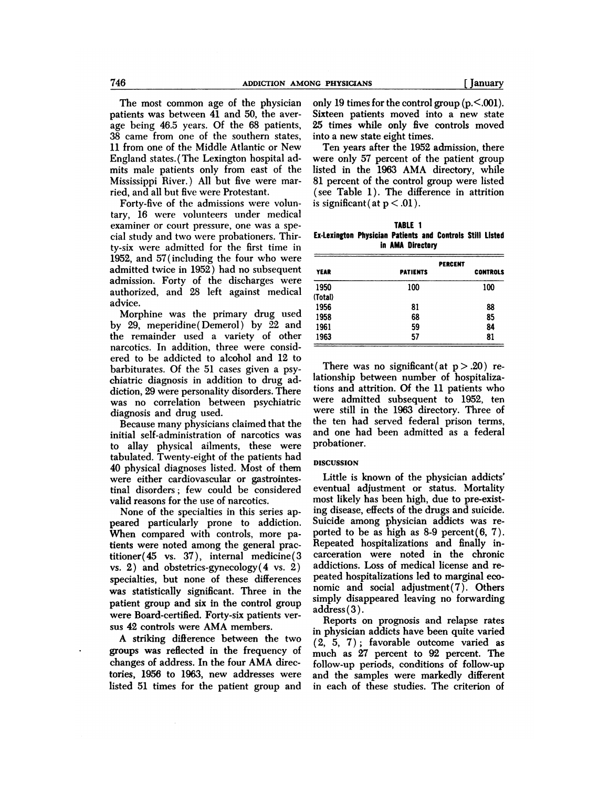The most common age of the physician patients was between 41 and 50, the aver age being 46.5 years. Of the 68 patients, 38 came from one of the southern states, 11 from one of the Middle Atlantic or New England states.(The Lexington hospital admits male patients only from east of the Mississippi River.) All but five were married, and all but five were Protestant.

Forty-five of the admissions were voluntary, 16 were volunteers under medical examiner or court pressure, one was a special study and two were probationers. Thirty-six were admitted for the first time in 1952, and 57(including the four who were admitted twice in 1952) had no subsequent admission. Forty of the discharges were authorized, and 28 left against medical advice.

Morphine was the primary drug used by 29, meperidine( Demerol) by 22 and the remainder used a variety of other narcotics. In addition, three were considered to be addicted to alcohol and 12 to barbiturates. Of the 51 cases given a psychiatric diagnosis in addition to drug addiction, 29 were personality disorders. There was no correlation between psychiatric diagnosis and drug used.

Because many physicians claimed that the initial self-administration of narcotics was to allay physical ailments, these were tabulated. Twenty-eight of the patients had 40 physical diagnoses listed. Most of them were either cardiovascular or gastrointestinal disorders; few could be considered valid reasons for the use of narcotics.

None of the specialties in this series appeared particularly prone to addiction. When compared with controls, more patients were noted among the general practitioner(45 vs. 37), internal medicine( 3 vs. 2) and obstetrics-gynecology(4 vs. 2) specialties, but none of these differences was statistically significant. Three in the patient group and six in the control group were Board-certified. Forty-six patients ver sus 42 controls were AMA members.

A striking difterence between the two groups was reflected in the frequency of changes of address. In the four AMA directories, 1956 to 1963, new addresses were listed 51 times for the patient group and

 $\lambda$ 

only 19 times for the control group  $(p.<001)$ . Sixteen patients moved into a new state 25 times while only five controls moved into a new state eight times.

Ten years after the 1952 admission, there were only 57 percent of the patient group listed in the 1963 AMA directory, while 81 percent of the control group were listed (see Table 1). The difference in attrition is significant (at  $p < .01$ ).

| <b>TABLE 1</b>                                            |  |                  |  |  |  |  |  |
|-----------------------------------------------------------|--|------------------|--|--|--|--|--|
| Ex-Lexington Physician Patients and Controls Still Listed |  |                  |  |  |  |  |  |
|                                                           |  | in AMA Directory |  |  |  |  |  |

|             | <b>PERCENT</b>  |                 |  |  |  |
|-------------|-----------------|-----------------|--|--|--|
| <b>YEAR</b> | <b>PATIENTS</b> | <b>CONTROLS</b> |  |  |  |
| 1950        | 100             | 100             |  |  |  |
| (Total)     |                 |                 |  |  |  |
| 1956        | 81              | 88              |  |  |  |
| 1958        | 68              | 85              |  |  |  |
| 1961        | 59              | 84              |  |  |  |
| 1963        | 57              | 81              |  |  |  |
|             |                 |                 |  |  |  |

There was no significant (at  $p > .20$ ) relationship between number of hospitalizations and attrition. Of the 11 patients who were admitted subsequent to 1952, ten were still in the 1963 directory. Three of the ten had served federal prison terms, and one had been admitted as a federal probationer.

### **DISCUSSION**

Little is known of the physician addicts' eventual adjustment or status. Mortality most likely has been high, due to pre-existing disease, effects of the drugs and suicide. Suicide among physician addicts was re ported to be as high as  $8-9$  percent $(6, 7)$ . Repeated hospitalizations and finally incarceration were noted in the chronic addictions. Loss of medical license and re peated hospitalizations led to marginal eco nomic and social adjustment(7). Others simply disappeared leaving no forwarding address(3).

Reports on prognosis and relapse rates in physician addicts have been quite varied (2, 5, 7); favorable outcome varied as much as 27 percent to 92 percent. The follow-up periods, conditions of follow-up and the samples were markedly different in each of these studies. The criterion of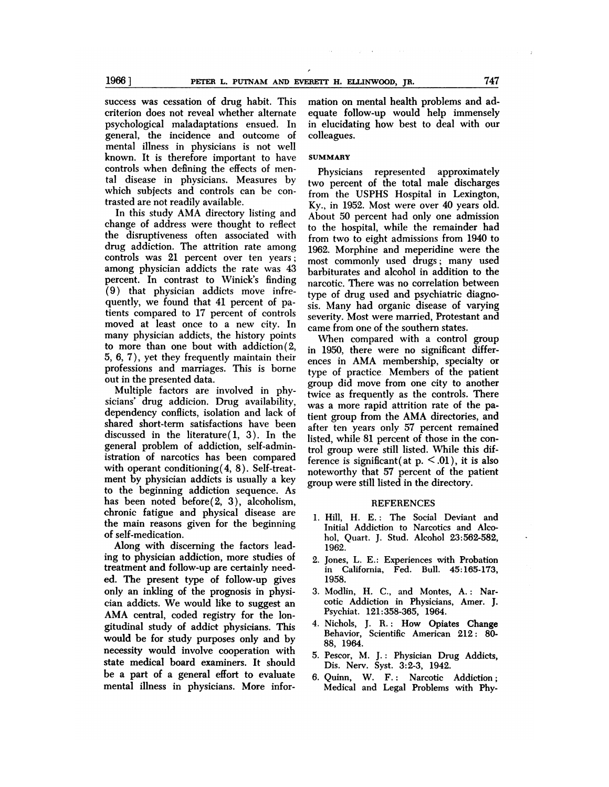success was cessation of drug habit. This criterion does not reveal whether alternate psychological maladaptations ensued. In general, the incidence and outcome of mental illness in physicians is not well known. It is therefore important to have controls when defining the effects of mental disease in physicians. Measures by which subjects and controls can be contrasted are not readily available.

In this study AMA directory listing and change of address were thought to reflect the disruptiveness often associated with drug addiction. The attrition rate among controls was 21 percent over ten years; among physician addicts the rate was 43 percent. In contrast to Winick's finding (9) that physician addicts move infrequently, we found that 41 percent of patients compared to 17 percent of controls moved at least once to a new city. In many physician addicts, the history points to more than one bout with addiction(2, 5, 6, 7), yet they frequently maintain their professions and marriages. This is borne out in the presented data.

Multiple factors are involved in physicians' drug addicion. Drug availability, dependency conflicts, isolation and lack of shared short-term satisfactions have been discussed in the literature( 1, 3). In the general problem of addiction, self-administration of narcotics has been compared with operant conditioning(4, 8). Self-treatment by physician addicts is usually a key to the beginning addiction sequence. As has been noted before(2, 3), alcoholism, chronic fatigue and physical disease are the main reasons given for the beginning of self-medication.

Along with discerning the factors leading to physician addiction, more studies of treatment and follow-up are certainly needed. The present type of follow-up gives only an inkling of the prognosis in physician addicts. We would like to suggest an AMA central, coded registry for the longitudinal study of addict physicians. This would be for study purposes only and by necessity would involve cooperation with state medical board examiners. It should be a part of a general effort to evaluate mental illness in physicians. More information on mental health problems and adequate follow-up would help immensely in elucidating how best to deal with our colleagues.

## **SUMMARY**

Physicians represented approximately two percent of the total male discharges from the USPHS Hospital in Lexington, Ky., in 1952. Most were over 40 years old. About 50 percent had only one admission to the hospital, while the remainder had from two to eight admissions from 1940 to 1962. Morphine and meperidine were the most commonly used drugs; many used barbiturates and alcohol in addition to the narcotic. There was no correlation between type of drug used and psychiatric diagnosis. Many had organic disease of varying severity. Most were married, Protestant and came from one of the southern states.

When compared with a control group in 1950, there were no significant differ ences in AMA membership, specialty or type of practice Members of the patient group did move from one city to another twice as frequently as the controls. There was a more rapid attrition rate of the patient group from theAMA directories, and after ten years only 57 percent remained listed, while 81 percent of those in the control group were still listed. While this difference is significant (at  $p \leq 0.01$ ), it is also noteworthy that 57 percent of the patient group were still listed in the directory.

#### REFERENCES

- 1. Hill, H. E.: The Social Deviant and Initial Addiction to Narcotics and Alcohol, Quart. J. Stud. Alcohol 23:562-582, 1962.
- 2. Jones, L. E.: Experiences with Probation in California, Fed. Bull. 45:165-173, 1958.
- 3. Modlin, H. C., and Montes, A.: Narcotic Addiction in Physicians, Amer. J. Psychiat. 121:358-365, 1964.
- 4. Nichols, J. R.: How Opiates Change Behavior, Scientific American 212: 80- 88, 1964.
- 5. Pescor, M. J.: Physician Drug Addicts, Dis. Nerv. Syst. 3:2-3, 1942.
- 6. Quinn, W. F.: Narcotic Addiction; Medical and Legal Problems with Phy-